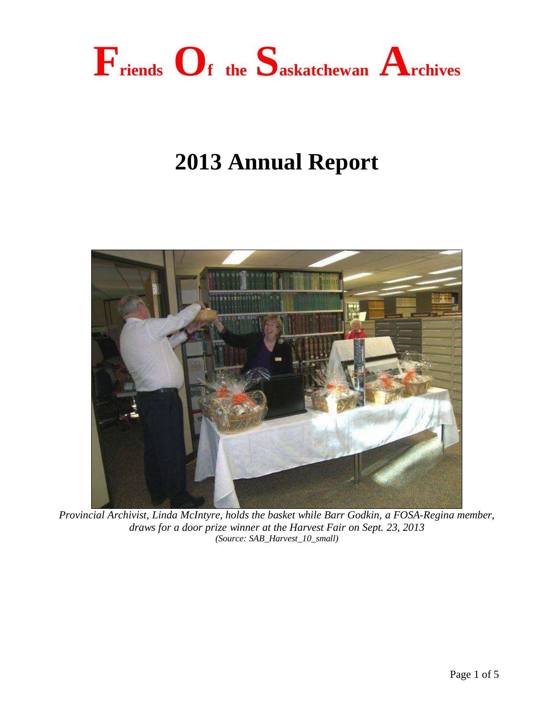

# **2013 Annual Report**



*Provincial Archivist, Linda McIntyre, holds the basket while Barr Godkin, a FOSA-Regina member, draws for a door prize winner at the Harvest Fair on Sept. 23, 2013 (Source: SAB\_Harvest\_10\_small)*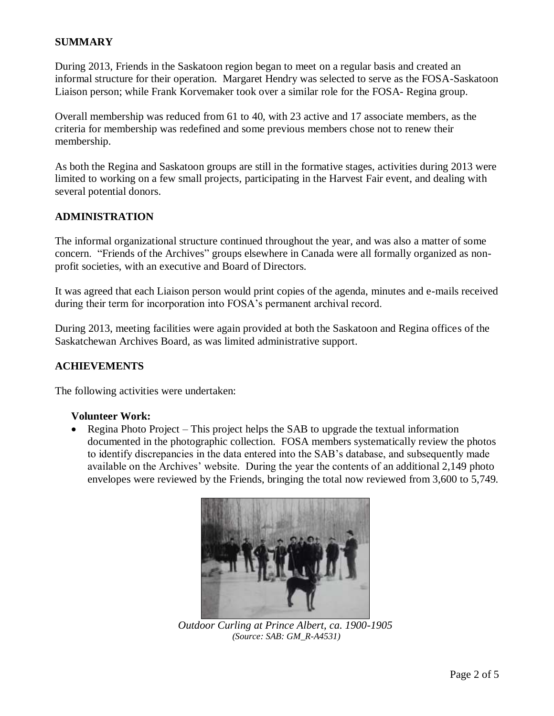# **SUMMARY**

During 2013, Friends in the Saskatoon region began to meet on a regular basis and created an informal structure for their operation. Margaret Hendry was selected to serve as the FOSA-Saskatoon Liaison person; while Frank Korvemaker took over a similar role for the FOSA- Regina group.

Overall membership was reduced from 61 to 40, with 23 active and 17 associate members, as the criteria for membership was redefined and some previous members chose not to renew their membership.

As both the Regina and Saskatoon groups are still in the formative stages, activities during 2013 were limited to working on a few small projects, participating in the Harvest Fair event, and dealing with several potential donors.

## **ADMINISTRATION**

The informal organizational structure continued throughout the year, and was also a matter of some concern. "Friends of the Archives" groups elsewhere in Canada were all formally organized as nonprofit societies, with an executive and Board of Directors.

It was agreed that each Liaison person would print copies of the agenda, minutes and e-mails received during their term for incorporation into FOSA's permanent archival record.

During 2013, meeting facilities were again provided at both the Saskatoon and Regina offices of the Saskatchewan Archives Board, as was limited administrative support.

#### **ACHIEVEMENTS**

The following activities were undertaken:

#### **Volunteer Work:**

• Regina Photo Project – This project helps the SAB to upgrade the textual information documented in the photographic collection. FOSA members systematically review the photos to identify discrepancies in the data entered into the SAB's database, and subsequently made available on the Archives' website. During the year the contents of an additional 2,149 photo envelopes were reviewed by the Friends, bringing the total now reviewed from 3,600 to 5,749.



*Outdoor Curling at Prince Albert, ca. 1900-1905 (Source: SAB: GM\_R-A4531)*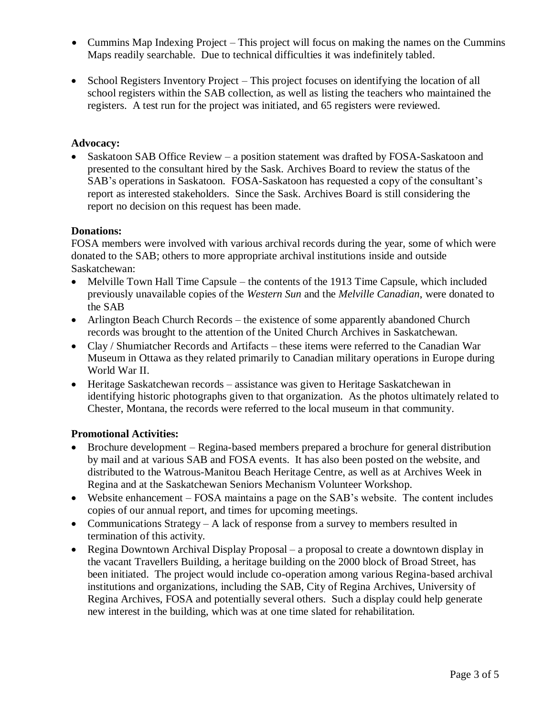- Cummins Map Indexing Project This project will focus on making the names on the Cummins Maps readily searchable. Due to technical difficulties it was indefinitely tabled.
- School Registers Inventory Project This project focuses on identifying the location of all school registers within the SAB collection, as well as listing the teachers who maintained the registers. A test run for the project was initiated, and 65 registers were reviewed.

# **Advocacy:**

• Saskatoon SAB Office Review – a position statement was drafted by FOSA-Saskatoon and presented to the consultant hired by the Sask. Archives Board to review the status of the SAB's operations in Saskatoon. FOSA-Saskatoon has requested a copy of the consultant's report as interested stakeholders. Since the Sask. Archives Board is still considering the report no decision on this request has been made.

#### **Donations:**

FOSA members were involved with various archival records during the year, some of which were donated to the SAB; others to more appropriate archival institutions inside and outside Saskatchewan:

- Melville Town Hall Time Capsule the contents of the 1913 Time Capsule, which included previously unavailable copies of the *Western Sun* and the *Melville Canadian*, were donated to the SAB
- Arlington Beach Church Records the existence of some apparently abandoned Church records was brought to the attention of the United Church Archives in Saskatchewan.
- Clay / Shumiatcher Records and Artifacts these items were referred to the Canadian War Museum in Ottawa as they related primarily to Canadian military operations in Europe during World War II.
- Heritage Saskatchewan records assistance was given to Heritage Saskatchewan in identifying historic photographs given to that organization. As the photos ultimately related to Chester, Montana, the records were referred to the local museum in that community.

#### **Promotional Activities:**

- Brochure development Regina-based members prepared a brochure for general distribution by mail and at various SAB and FOSA events. It has also been posted on the website, and distributed to the Watrous-Manitou Beach Heritage Centre, as well as at Archives Week in Regina and at the Saskatchewan Seniors Mechanism Volunteer Workshop.
- Website enhancement FOSA maintains a page on the SAB's website. The content includes copies of our annual report, and times for upcoming meetings.
- Communications Strategy A lack of response from a survey to members resulted in termination of this activity.
- Regina Downtown Archival Display Proposal a proposal to create a downtown display in the vacant Travellers Building, a heritage building on the 2000 block of Broad Street, has been initiated. The project would include co-operation among various Regina-based archival institutions and organizations, including the SAB, City of Regina Archives, University of Regina Archives, FOSA and potentially several others. Such a display could help generate new interest in the building, which was at one time slated for rehabilitation.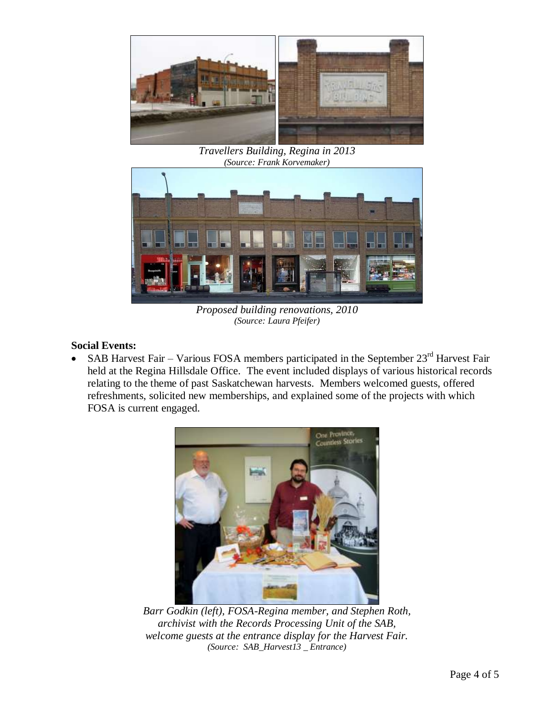

*Travellers Building, Regina in 2013 (Source: Frank Korvemaker)*



*Proposed building renovations, 2010 (Source: Laura Pfeifer)*

# **Social Events:**

• SAB Harvest Fair – Various FOSA members participated in the September  $23<sup>rd</sup>$  Harvest Fair held at the Regina Hillsdale Office. The event included displays of various historical records relating to the theme of past Saskatchewan harvests. Members welcomed guests, offered refreshments, solicited new memberships, and explained some of the projects with which FOSA is current engaged.



*Barr Godkin (left), FOSA-Regina member, and Stephen Roth, archivist with the Records Processing Unit of the SAB, welcome guests at the entrance display for the Harvest Fair. (Source: SAB\_Harvest13 \_ Entrance)*